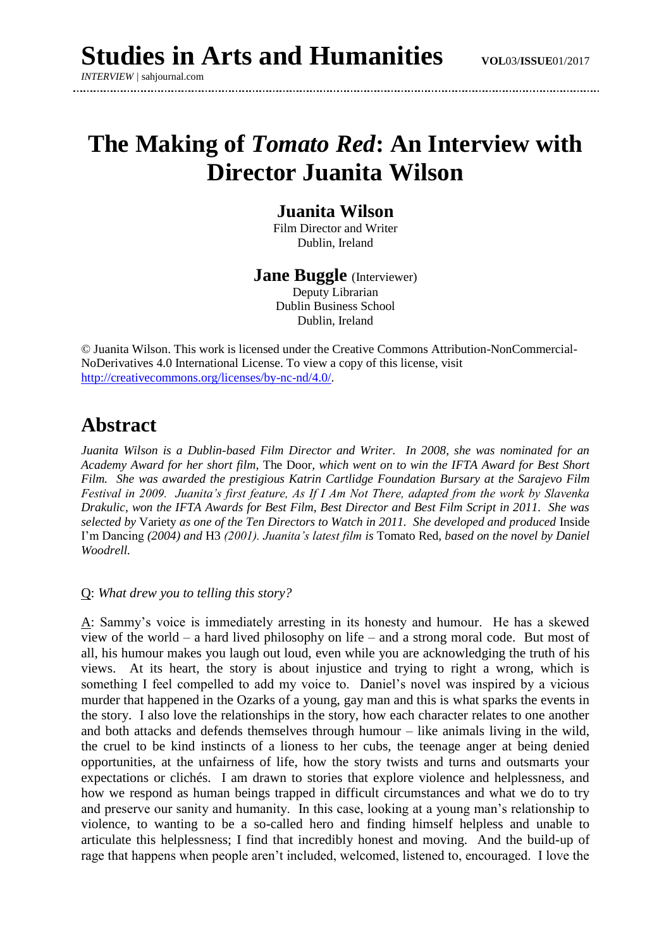# **The Making of** *Tomato Red***: An Interview with Director Juanita Wilson**

### **Juanita Wilson**

Film Director and Writer Dublin, Ireland

**Jane Buggle** (Interviewer) Deputy Librarian Dublin Business School Dublin, Ireland

© Juanita Wilson. This work is licensed under the Creative Commons Attribution-NonCommercial-NoDerivatives 4.0 International License. To view a copy of this license, visit [http://creativecommons.org/licenses/by-nc-nd/4.0/.](http://creativecommons.org/licenses/by-nc-nd/4.0/)

## **Abstract**

*Juanita Wilson is a Dublin-based Film Director and Writer. In 2008, she was nominated for an Academy Award for her short film,* The Door*, which went on to win the IFTA Award for Best Short Film. She was awarded the prestigious Katrin Cartlidge Foundation Bursary at the Sarajevo Film Festival in 2009. Juanita's first feature, As If I Am Not There, adapted from the work by Slavenka Drakulic, won the IFTA Awards for Best Film, Best Director and Best Film Script in 2011. She was selected by* Variety *as one of the Ten Directors to Watch in 2011. She developed and produced* Inside I'm Dancing *(2004) and* H3 *(2001). Juanita's latest film is* Tomato Red*, based on the novel by Daniel Woodrell.*

#### Q: *What drew you to telling this story?*

A: Sammy's voice is immediately arresting in its honesty and humour. He has a skewed view of the world – a hard lived philosophy on life – and a strong moral code. But most of all, his humour makes you laugh out loud, even while you are acknowledging the truth of his views. At its heart, the story is about injustice and trying to right a wrong, which is something I feel compelled to add my voice to. Daniel's novel was inspired by a vicious murder that happened in the Ozarks of a young, gay man and this is what sparks the events in the story. I also love the relationships in the story, how each character relates to one another and both attacks and defends themselves through humour – like animals living in the wild, the cruel to be kind instincts of a lioness to her cubs, the teenage anger at being denied opportunities, at the unfairness of life, how the story twists and turns and outsmarts your expectations or clichés. I am drawn to stories that explore violence and helplessness, and how we respond as human beings trapped in difficult circumstances and what we do to try and preserve our sanity and humanity. In this case, looking at a young man's relationship to violence, to wanting to be a so-called hero and finding himself helpless and unable to articulate this helplessness; I find that incredibly honest and moving. And the build-up of rage that happens when people aren't included, welcomed, listened to, encouraged. I love the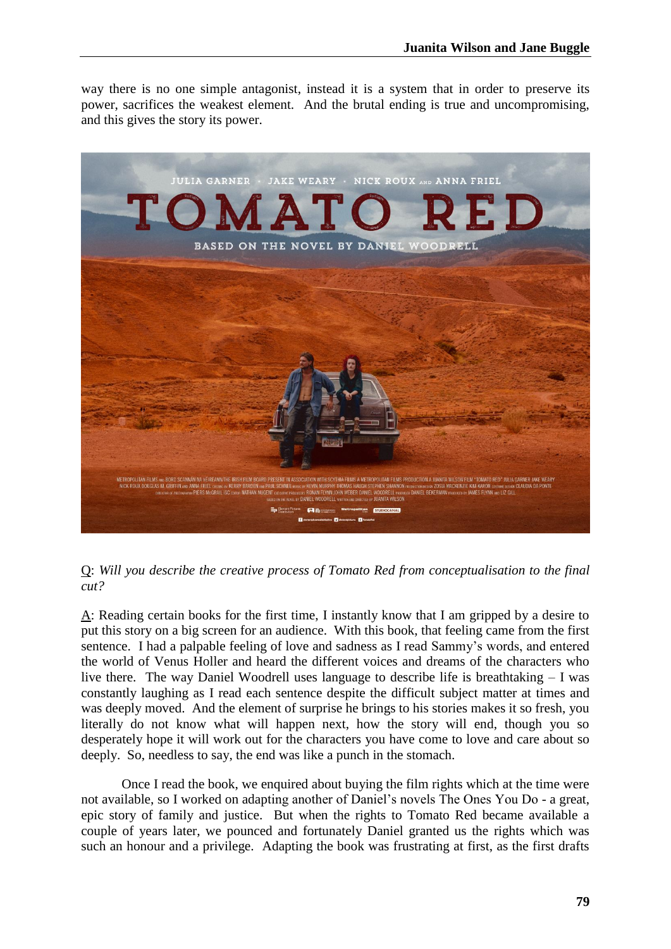way there is no one simple antagonist, instead it is a system that in order to preserve its power, sacrifices the weakest element. And the brutal ending is true and uncompromising, and this gives the story its power.



Q: *Will you describe the creative process of Tomato Red from conceptualisation to the final cut?* 

A: Reading certain books for the first time, I instantly know that I am gripped by a desire to put this story on a big screen for an audience. With this book, that feeling came from the first sentence. I had a palpable feeling of love and sadness as I read Sammy's words, and entered the world of Venus Holler and heard the different voices and dreams of the characters who live there. The way Daniel Woodrell uses language to describe life is breathtaking – I was constantly laughing as I read each sentence despite the difficult subject matter at times and was deeply moved. And the element of surprise he brings to his stories makes it so fresh, you literally do not know what will happen next, how the story will end, though you so desperately hope it will work out for the characters you have come to love and care about so deeply. So, needless to say, the end was like a punch in the stomach.

Once I read the book, we enquired about buying the film rights which at the time were not available, so I worked on adapting another of Daniel's novels The Ones You Do - a great, epic story of family and justice. But when the rights to Tomato Red became available a couple of years later, we pounced and fortunately Daniel granted us the rights which was such an honour and a privilege. Adapting the book was frustrating at first, as the first drafts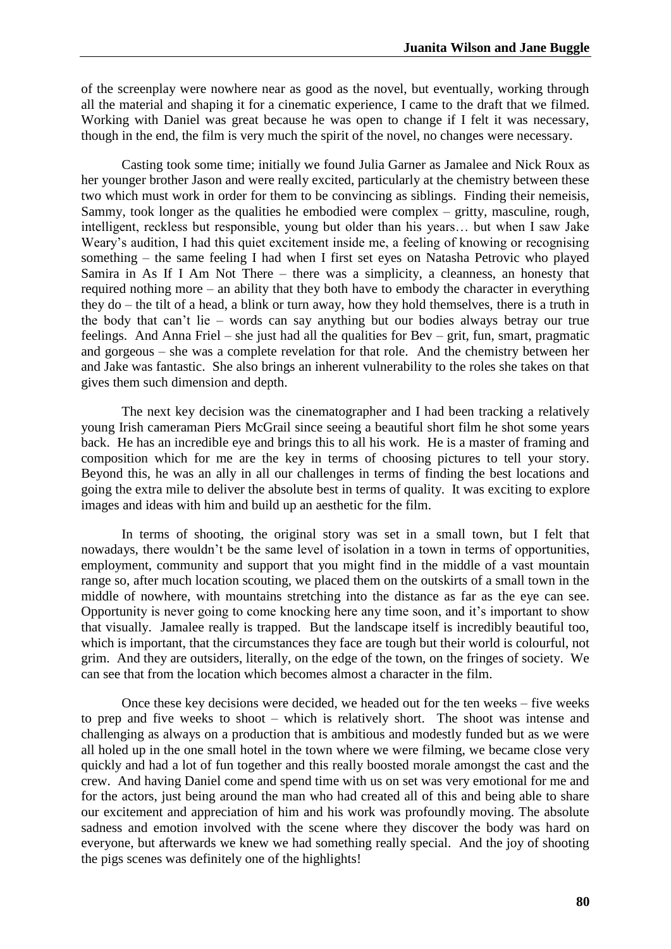of the screenplay were nowhere near as good as the novel, but eventually, working through all the material and shaping it for a cinematic experience, I came to the draft that we filmed. Working with Daniel was great because he was open to change if I felt it was necessary, though in the end, the film is very much the spirit of the novel, no changes were necessary.

Casting took some time; initially we found Julia Garner as Jamalee and Nick Roux as her younger brother Jason and were really excited, particularly at the chemistry between these two which must work in order for them to be convincing as siblings. Finding their nemeisis, Sammy, took longer as the qualities he embodied were complex – gritty, masculine, rough, intelligent, reckless but responsible, young but older than his years… but when I saw Jake Weary's audition, I had this quiet excitement inside me, a feeling of knowing or recognising something – the same feeling I had when I first set eyes on Natasha Petrovic who played Samira in As If I Am Not There – there was a simplicity, a cleanness, an honesty that required nothing more – an ability that they both have to embody the character in everything they do – the tilt of a head, a blink or turn away, how they hold themselves, there is a truth in the body that can't lie – words can say anything but our bodies always betray our true feelings. And Anna Friel – she just had all the qualities for Bev – grit, fun, smart, pragmatic and gorgeous – she was a complete revelation for that role. And the chemistry between her and Jake was fantastic. She also brings an inherent vulnerability to the roles she takes on that gives them such dimension and depth.

The next key decision was the cinematographer and I had been tracking a relatively young Irish cameraman Piers McGrail since seeing a beautiful short film he shot some years back. He has an incredible eye and brings this to all his work. He is a master of framing and composition which for me are the key in terms of choosing pictures to tell your story. Beyond this, he was an ally in all our challenges in terms of finding the best locations and going the extra mile to deliver the absolute best in terms of quality. It was exciting to explore images and ideas with him and build up an aesthetic for the film.

In terms of shooting, the original story was set in a small town, but I felt that nowadays, there wouldn't be the same level of isolation in a town in terms of opportunities, employment, community and support that you might find in the middle of a vast mountain range so, after much location scouting, we placed them on the outskirts of a small town in the middle of nowhere, with mountains stretching into the distance as far as the eye can see. Opportunity is never going to come knocking here any time soon, and it's important to show that visually. Jamalee really is trapped. But the landscape itself is incredibly beautiful too, which is important, that the circumstances they face are tough but their world is colourful, not grim. And they are outsiders, literally, on the edge of the town, on the fringes of society. We can see that from the location which becomes almost a character in the film.

Once these key decisions were decided, we headed out for the ten weeks – five weeks to prep and five weeks to shoot – which is relatively short. The shoot was intense and challenging as always on a production that is ambitious and modestly funded but as we were all holed up in the one small hotel in the town where we were filming, we became close very quickly and had a lot of fun together and this really boosted morale amongst the cast and the crew. And having Daniel come and spend time with us on set was very emotional for me and for the actors, just being around the man who had created all of this and being able to share our excitement and appreciation of him and his work was profoundly moving. The absolute sadness and emotion involved with the scene where they discover the body was hard on everyone, but afterwards we knew we had something really special. And the joy of shooting the pigs scenes was definitely one of the highlights!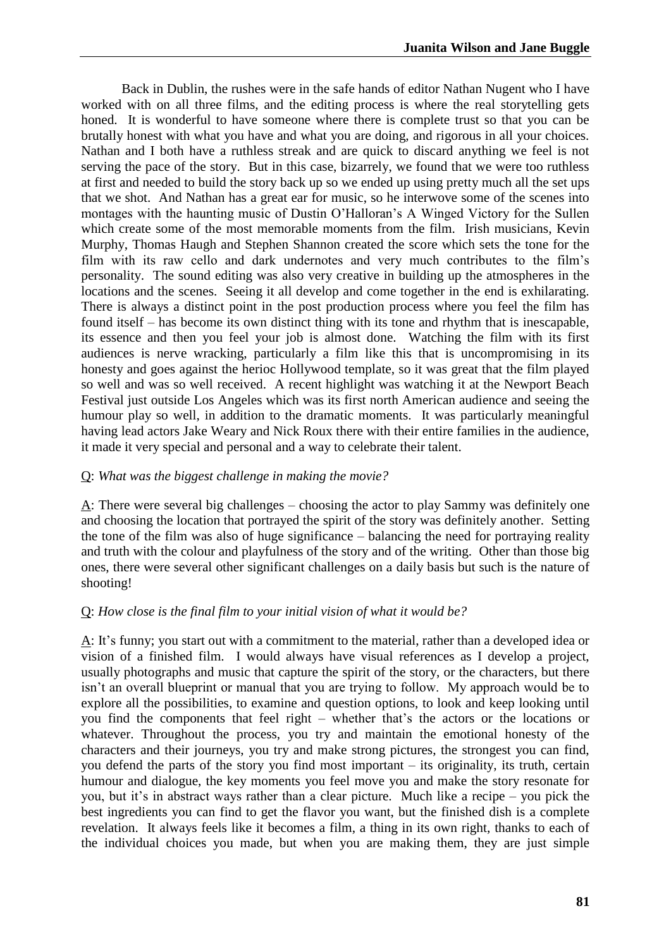Back in Dublin, the rushes were in the safe hands of editor Nathan Nugent who I have worked with on all three films, and the editing process is where the real storytelling gets honed. It is wonderful to have someone where there is complete trust so that you can be brutally honest with what you have and what you are doing, and rigorous in all your choices. Nathan and I both have a ruthless streak and are quick to discard anything we feel is not serving the pace of the story. But in this case, bizarrely, we found that we were too ruthless at first and needed to build the story back up so we ended up using pretty much all the set ups that we shot. And Nathan has a great ear for music, so he interwove some of the scenes into montages with the haunting music of Dustin O'Halloran's A Winged Victory for the Sullen which create some of the most memorable moments from the film. Irish musicians, Kevin Murphy, Thomas Haugh and Stephen Shannon created the score which sets the tone for the film with its raw cello and dark undernotes and very much contributes to the film's personality. The sound editing was also very creative in building up the atmospheres in the locations and the scenes. Seeing it all develop and come together in the end is exhilarating. There is always a distinct point in the post production process where you feel the film has found itself – has become its own distinct thing with its tone and rhythm that is inescapable, its essence and then you feel your job is almost done. Watching the film with its first audiences is nerve wracking, particularly a film like this that is uncompromising in its honesty and goes against the herioc Hollywood template, so it was great that the film played so well and was so well received. A recent highlight was watching it at the Newport Beach Festival just outside Los Angeles which was its first north American audience and seeing the humour play so well, in addition to the dramatic moments. It was particularly meaningful having lead actors Jake Weary and Nick Roux there with their entire families in the audience, it made it very special and personal and a way to celebrate their talent.

#### Q: *What was the biggest challenge in making the movie?*

A: There were several big challenges – choosing the actor to play Sammy was definitely one and choosing the location that portrayed the spirit of the story was definitely another. Setting the tone of the film was also of huge significance – balancing the need for portraying reality and truth with the colour and playfulness of the story and of the writing. Other than those big ones, there were several other significant challenges on a daily basis but such is the nature of shooting!

#### Q: *How close is the final film to your initial vision of what it would be?*

A: It's funny; you start out with a commitment to the material, rather than a developed idea or vision of a finished film. I would always have visual references as I develop a project, usually photographs and music that capture the spirit of the story, or the characters, but there isn't an overall blueprint or manual that you are trying to follow. My approach would be to explore all the possibilities, to examine and question options, to look and keep looking until you find the components that feel right – whether that's the actors or the locations or whatever. Throughout the process, you try and maintain the emotional honesty of the characters and their journeys, you try and make strong pictures, the strongest you can find, you defend the parts of the story you find most important – its originality, its truth, certain humour and dialogue, the key moments you feel move you and make the story resonate for you, but it's in abstract ways rather than a clear picture. Much like a recipe – you pick the best ingredients you can find to get the flavor you want, but the finished dish is a complete revelation. It always feels like it becomes a film, a thing in its own right, thanks to each of the individual choices you made, but when you are making them, they are just simple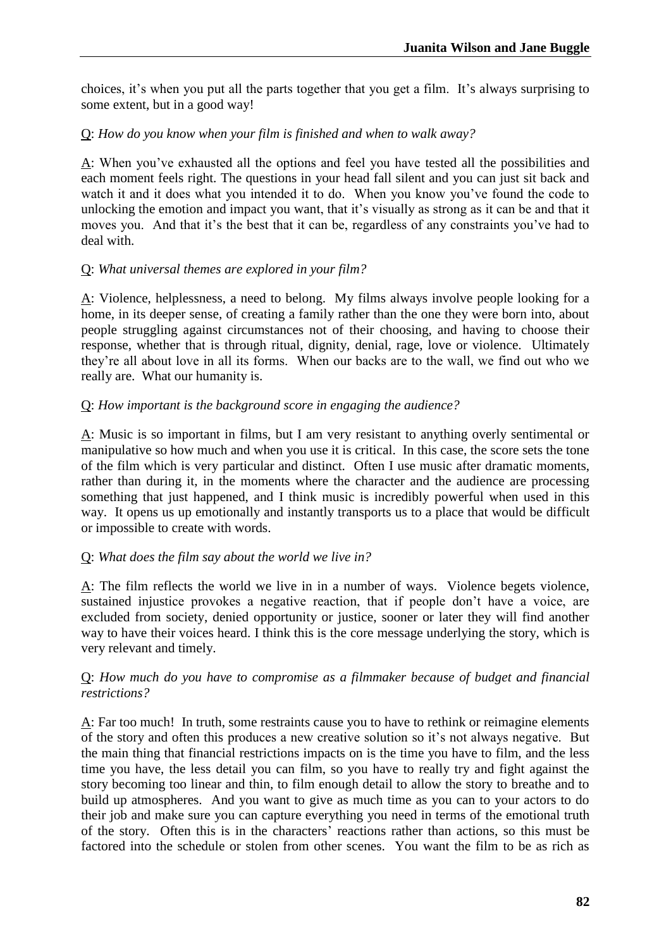choices, it's when you put all the parts together that you get a film. It's always surprising to some extent, but in a good way!

#### Q: *How do you know when your film is finished and when to walk away?*

A: When you've exhausted all the options and feel you have tested all the possibilities and each moment feels right. The questions in your head fall silent and you can just sit back and watch it and it does what you intended it to do. When you know you've found the code to unlocking the emotion and impact you want, that it's visually as strong as it can be and that it moves you. And that it's the best that it can be, regardless of any constraints you've had to deal with.

#### Q: *What universal themes are explored in your film?*

 $\underline{A}$ : Violence, helplessness, a need to belong. My films always involve people looking for a home, in its deeper sense, of creating a family rather than the one they were born into, about people struggling against circumstances not of their choosing, and having to choose their response, whether that is through ritual, dignity, denial, rage, love or violence. Ultimately they're all about love in all its forms. When our backs are to the wall, we find out who we really are. What our humanity is.

#### Q: *How important is the background score in engaging the audience?*

A: Music is so important in films, but I am very resistant to anything overly sentimental or manipulative so how much and when you use it is critical. In this case, the score sets the tone of the film which is very particular and distinct. Often I use music after dramatic moments, rather than during it, in the moments where the character and the audience are processing something that just happened, and I think music is incredibly powerful when used in this way. It opens us up emotionally and instantly transports us to a place that would be difficult or impossible to create with words.

#### Q: *What does the film say about the world we live in?*

A: The film reflects the world we live in in a number of ways. Violence begets violence, sustained injustice provokes a negative reaction, that if people don't have a voice, are excluded from society, denied opportunity or justice, sooner or later they will find another way to have their voices heard. I think this is the core message underlying the story, which is very relevant and timely.

#### Q: *How much do you have to compromise as a filmmaker because of budget and financial restrictions?*

A: Far too much! In truth, some restraints cause you to have to rethink or reimagine elements of the story and often this produces a new creative solution so it's not always negative. But the main thing that financial restrictions impacts on is the time you have to film, and the less time you have, the less detail you can film, so you have to really try and fight against the story becoming too linear and thin, to film enough detail to allow the story to breathe and to build up atmospheres. And you want to give as much time as you can to your actors to do their job and make sure you can capture everything you need in terms of the emotional truth of the story. Often this is in the characters' reactions rather than actions, so this must be factored into the schedule or stolen from other scenes. You want the film to be as rich as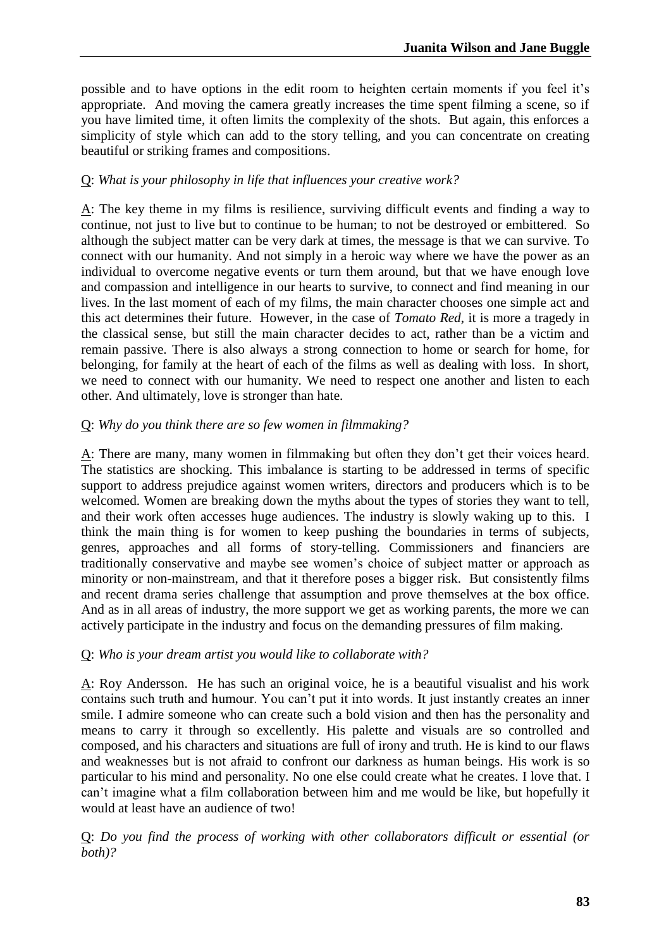possible and to have options in the edit room to heighten certain moments if you feel it's appropriate. And moving the camera greatly increases the time spent filming a scene, so if you have limited time, it often limits the complexity of the shots. But again, this enforces a simplicity of style which can add to the story telling, and you can concentrate on creating beautiful or striking frames and compositions.

#### Q: *What is your philosophy in life that influences your creative work?*

A: The key theme in my films is resilience, surviving difficult events and finding a way to continue, not just to live but to continue to be human; to not be destroyed or embittered. So although the subject matter can be very dark at times, the message is that we can survive. To connect with our humanity. And not simply in a heroic way where we have the power as an individual to overcome negative events or turn them around, but that we have enough love and compassion and intelligence in our hearts to survive, to connect and find meaning in our lives. In the last moment of each of my films, the main character chooses one simple act and this act determines their future. However, in the case of *Tomato Red*, it is more a tragedy in the classical sense, but still the main character decides to act, rather than be a victim and remain passive. There is also always a strong connection to home or search for home, for belonging, for family at the heart of each of the films as well as dealing with loss. In short, we need to connect with our humanity. We need to respect one another and listen to each other. And ultimately, love is stronger than hate.

#### Q: *Why do you think there are so few women in filmmaking?*

A: There are many, many women in filmmaking but often they don't get their voices heard. The statistics are shocking. This imbalance is starting to be addressed in terms of specific support to address prejudice against women writers, directors and producers which is to be welcomed. Women are breaking down the myths about the types of stories they want to tell, and their work often accesses huge audiences. The industry is slowly waking up to this. I think the main thing is for women to keep pushing the boundaries in terms of subjects, genres, approaches and all forms of story-telling. Commissioners and financiers are traditionally conservative and maybe see women's choice of subject matter or approach as minority or non-mainstream, and that it therefore poses a bigger risk. But consistently films and recent drama series challenge that assumption and prove themselves at the box office. And as in all areas of industry, the more support we get as working parents, the more we can actively participate in the industry and focus on the demanding pressures of film making.

#### Q: *Who is your dream artist you would like to collaborate with?*

A: Roy Andersson. He has such an original voice, he is a beautiful visualist and his work contains such truth and humour. You can't put it into words. It just instantly creates an inner smile. I admire someone who can create such a bold vision and then has the personality and means to carry it through so excellently. His palette and visuals are so controlled and composed, and his characters and situations are full of irony and truth. He is kind to our flaws and weaknesses but is not afraid to confront our darkness as human beings. His work is so particular to his mind and personality. No one else could create what he creates. I love that. I can't imagine what a film collaboration between him and me would be like, but hopefully it would at least have an audience of two!

Q: *Do you find the process of working with other collaborators difficult or essential (or both)?*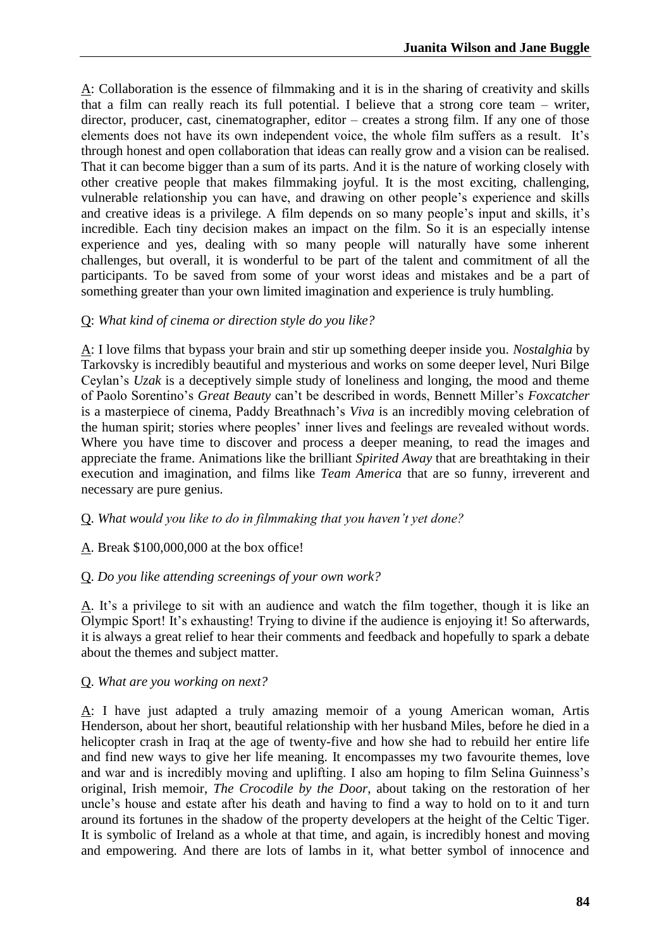A: Collaboration is the essence of filmmaking and it is in the sharing of creativity and skills that a film can really reach its full potential. I believe that a strong core team – writer, director, producer, cast, cinematographer, editor – creates a strong film. If any one of those elements does not have its own independent voice, the whole film suffers as a result. It's through honest and open collaboration that ideas can really grow and a vision can be realised. That it can become bigger than a sum of its parts. And it is the nature of working closely with other creative people that makes filmmaking joyful. It is the most exciting, challenging, vulnerable relationship you can have, and drawing on other people's experience and skills and creative ideas is a privilege. A film depends on so many people's input and skills, it's incredible. Each tiny decision makes an impact on the film. So it is an especially intense experience and yes, dealing with so many people will naturally have some inherent challenges, but overall, it is wonderful to be part of the talent and commitment of all the participants. To be saved from some of your worst ideas and mistakes and be a part of something greater than your own limited imagination and experience is truly humbling.

#### Q: *What kind of cinema or direction style do you like?*

A: I love films that bypass your brain and stir up something deeper inside you. *Nostalghia* by Tarkovsky is incredibly beautiful and mysterious and works on some deeper level, Nuri Bilge Ceylan's *Uzak* is a deceptively simple study of loneliness and longing, the mood and theme of Paolo Sorentino's *Great Beauty* can't be described in words, Bennett Miller's *Foxcatcher* is a masterpiece of cinema, Paddy Breathnach's *Viva* is an incredibly moving celebration of the human spirit; stories where peoples' inner lives and feelings are revealed without words. Where you have time to discover and process a deeper meaning, to read the images and appreciate the frame. Animations like the brilliant *Spirited Away* that are breathtaking in their execution and imagination, and films like *Team America* that are so funny, irreverent and necessary are pure genius.

#### Q. *What would you like to do in filmmaking that you haven't yet done?*

#### A. Break \$100,000,000 at the box office!

#### Q. *Do you like attending screenings of your own work?*

A. It's a privilege to sit with an audience and watch the film together, though it is like an Olympic Sport! It's exhausting! Trying to divine if the audience is enjoying it! So afterwards, it is always a great relief to hear their comments and feedback and hopefully to spark a debate about the themes and subject matter.

#### Q. *What are you working on next?*

A: I have just adapted a truly amazing memoir of a young American woman, Artis Henderson, about her short, beautiful relationship with her husband Miles, before he died in a helicopter crash in Iraq at the age of twenty-five and how she had to rebuild her entire life and find new ways to give her life meaning. It encompasses my two favourite themes, love and war and is incredibly moving and uplifting. I also am hoping to film Selina Guinness's original, Irish memoir, *The Crocodile by the Door*, about taking on the restoration of her uncle's house and estate after his death and having to find a way to hold on to it and turn around its fortunes in the shadow of the property developers at the height of the Celtic Tiger. It is symbolic of Ireland as a whole at that time, and again, is incredibly honest and moving and empowering. And there are lots of lambs in it, what better symbol of innocence and